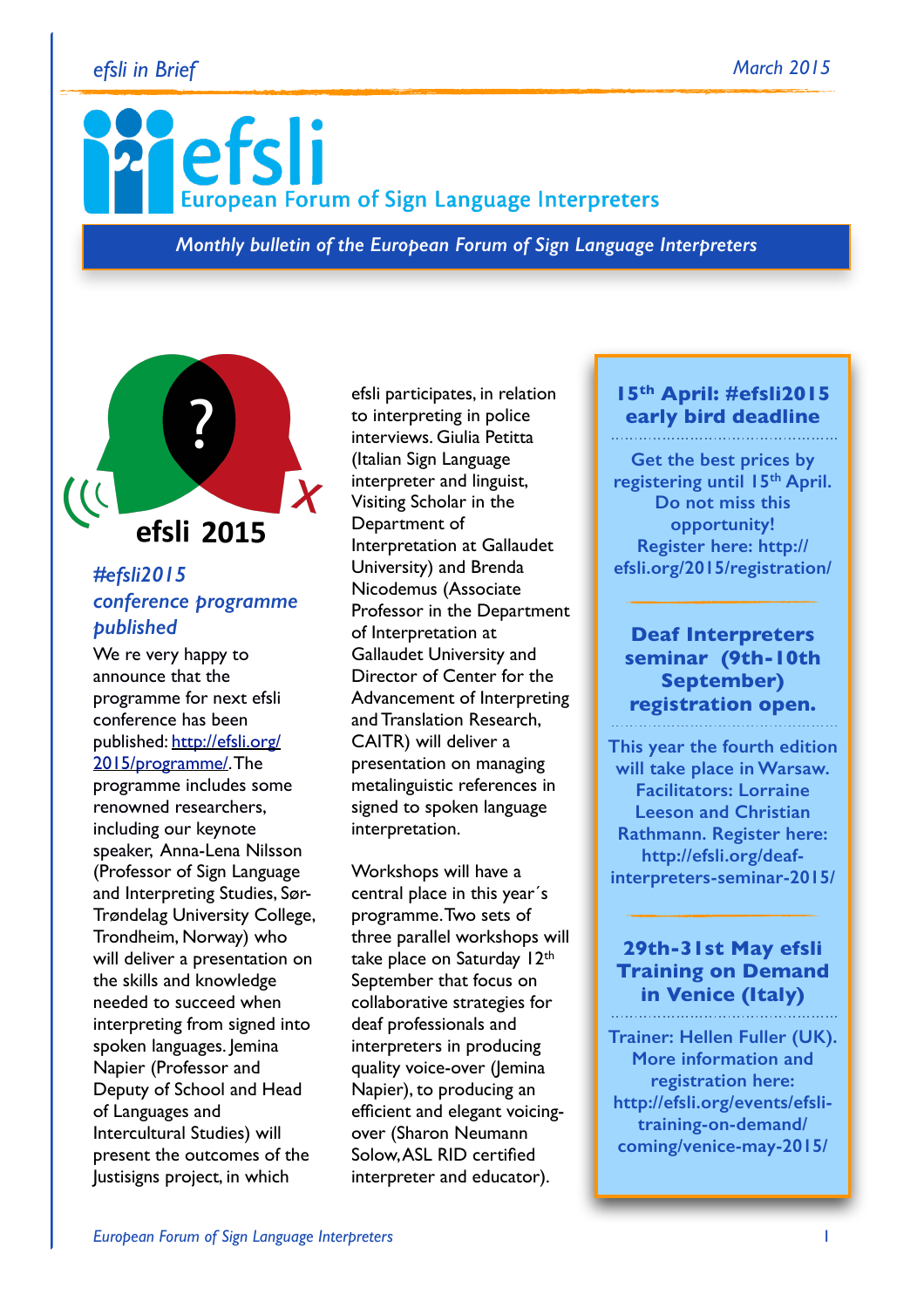#### *efsli in Brief March 2015*

# efsli **European Forum of Sign Language Interpreters**

*Monthly bulletin of the European Forum of Sign Language Interpreters*



# *#efsli2015 conference programme published*

We re very happy to announce that the programme for next efsli conference has been [published: http://efsli.org/](http://efsli.org/2015/programme/) 2015/programme/. The

programme includes some renowned researchers, including our keynote speaker, Anna-Lena Nilsson (Professor of Sign Language and Interpreting Studies, Sør-Trøndelag University College, Trondheim, Norway) who will deliver a presentation on the skills and knowledge needed to succeed when interpreting from signed into spoken languages. Jemina Napier (Professor and Deputy of School and Head of Languages and Intercultural Studies) will present the outcomes of the Justisigns project, in which

efsli participates, in relation to interpreting in police interviews. Giulia Petitta (Italian Sign Language interpreter and linguist, Visiting Scholar in the Department of Interpretation at Gallaudet University) and Brenda Nicodemus (Associate Professor in the Department of Interpretation at Gallaudet University and Director of Center for the Advancement of Interpreting and Translation Research, CAITR) will deliver a presentation on managing metalinguistic references in signed to spoken language interpretation.

Workshops will have a central place in this year´s programme. Two sets of three parallel workshops will take place on Saturday 12th September that focus on collaborative strategies for deaf professionals and interpreters in producing quality voice-over (Jemina Napier), to producing an efficient and elegant voicingover (Sharon Neumann Solow, ASL RID certified interpreter and educator).

# **15th April: #efsli2015 early bird deadline**

**Get the best prices by registering until 15th April. Do not miss this opportunity! Register here: http:// [efsli.org/2015/registration/](http://efsli.org/2015/registration/)**

#### **Deaf Interpreters seminar (9th-10th September) registration open.**

**This year the fourth edition will take place in Warsaw. Facilitators: Lorraine Leeson and Christian Rathmann. Register here: http://efsli.org/deaf[interpreters-seminar-2015/](http://efsli.org/deaf-interpreters-seminar-2015/)** 

# **29th-31st May efsli Training on Demand in Venice (Italy)**

**Trainer: Hellen Fuller (UK). More information and registration here: http://efsli.org/events/efslitraining-on-demand/ coming/venice-may-2015/**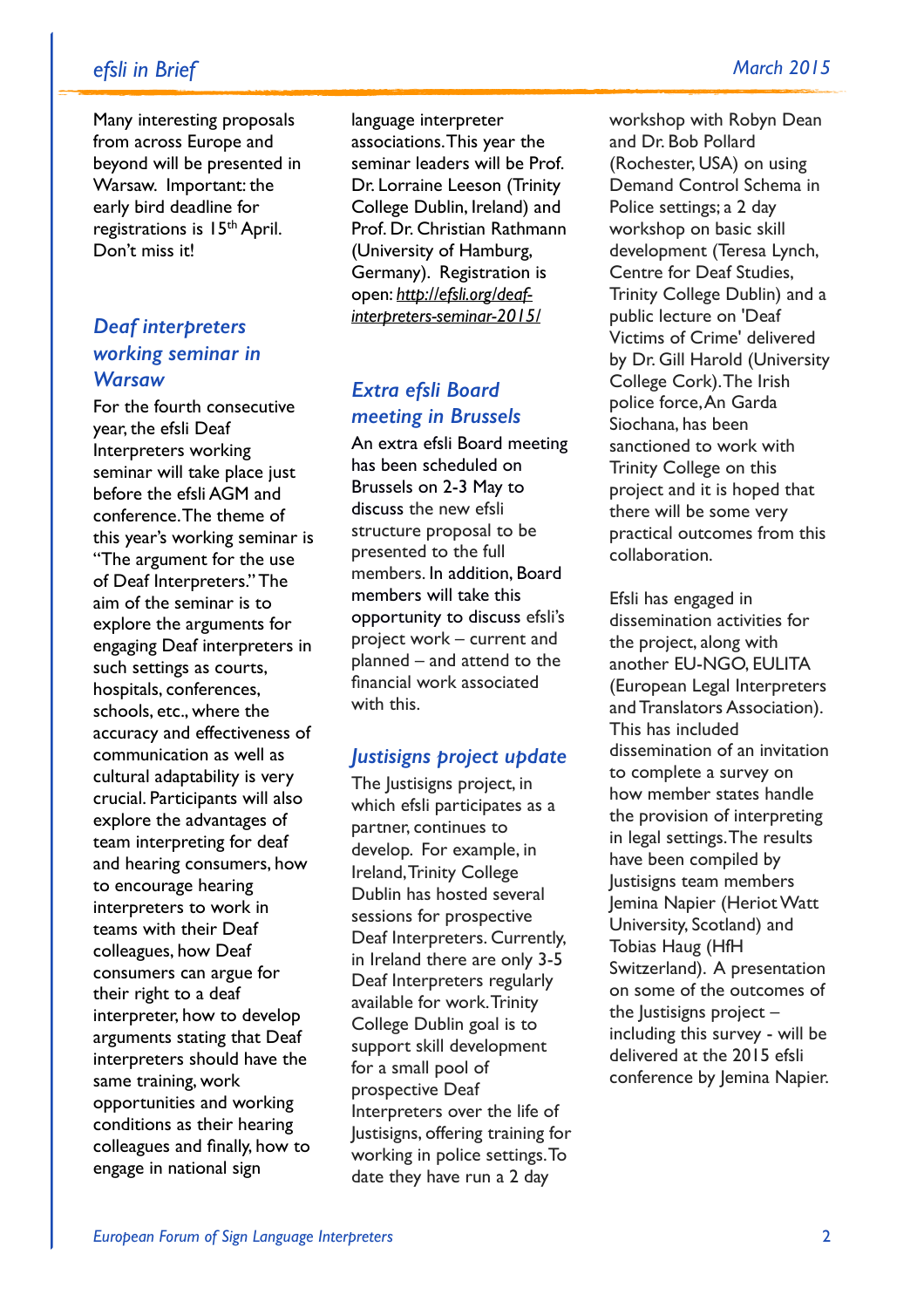# *efsli in Brief March 2015*

Many interesting proposals from across Europe and beyond will be presented in Warsaw. Important: the early bird deadline for registrations is 15th April. Don't miss it!

# *Deaf interpreters working seminar in Warsaw*

For the fourth consecutive year, the efsli Deaf Interpreters working seminar will take place just before the efsli AGM and conference. The theme of this year's working seminar is "The argument for the use of Deaf Interpreters." The aim of the seminar is to explore the arguments for engaging Deaf interpreters in such settings as courts, hospitals, conferences, schools, etc., where the accuracy and effectiveness of communication as well as cultural adaptability is very crucial. Participants will also explore the advantages of team interpreting for deaf and hearing consumers, how to encourage hearing interpreters to work in teams with their Deaf colleagues, how Deaf consumers can argue for their right to a deaf interpreter, how to develop arguments stating that Deaf interpreters should have the same training, work opportunities and working conditions as their hearing colleagues and finally, how to engage in national sign

language interpreter associations. This year the seminar leaders will be Prof. Dr. Lorraine Leeson (Trinity College Dublin, Ireland) and Prof. Dr. Christian Rathmann (University of Hamburg, Germany). Registration is open: *http://efsli.org/deaf[interpreters-seminar-2015/](http://efsli.org/deaf-interpreters-seminar-2015/)*

# *Extra efsli Board meeting in Brussels*

An extra efsli Board meeting has been scheduled on Brussels on 2-3 May to discuss the new efsli structure proposal to be presented to the full members. In addition, Board members will take this opportunity to discuss efsli's project work – current and planned – and attend to the financial work associated with this.

#### *Justisigns project update*

The Justisigns project, in which efsli participates as a partner, continues to develop. For example, in Ireland, Trinity College Dublin has hosted several sessions for prospective Deaf Interpreters. Currently, in Ireland there are only 3-5 Deaf Interpreters regularly available for work. Trinity College Dublin goal is to support skill development for a small pool of prospective Deaf Interpreters over the life of Justisigns, offering training for working in police settings. To date they have run a 2 day

workshop with Robyn Dean and Dr. Bob Pollard (Rochester, USA) on using Demand Control Schema in Police settings; a 2 day workshop on basic skill development (Teresa Lynch, Centre for Deaf Studies, Trinity College Dublin) and a public lecture on 'Deaf Victims of Crime' delivered by Dr. Gill Harold (University College Cork). The Irish police force, An Garda Siochana, has been sanctioned to work with Trinity College on this project and it is hoped that there will be some very practical outcomes from this collaboration.

Efsli has engaged in dissemination activities for the project, along with another EU-NGO, EULITA (European Legal Interpreters and Translators Association). This has included dissemination of an invitation to complete a survey on how member states handle the provision of interpreting in legal settings. The results have been compiled by Justisigns team members Jemina Napier (Heriot Watt University, Scotland) and Tobias Haug (HfH Switzerland). A presentation on some of the outcomes of the lustisigns project  $$ including this survey - will be delivered at the 2015 efsli conference by Jemina Napier.